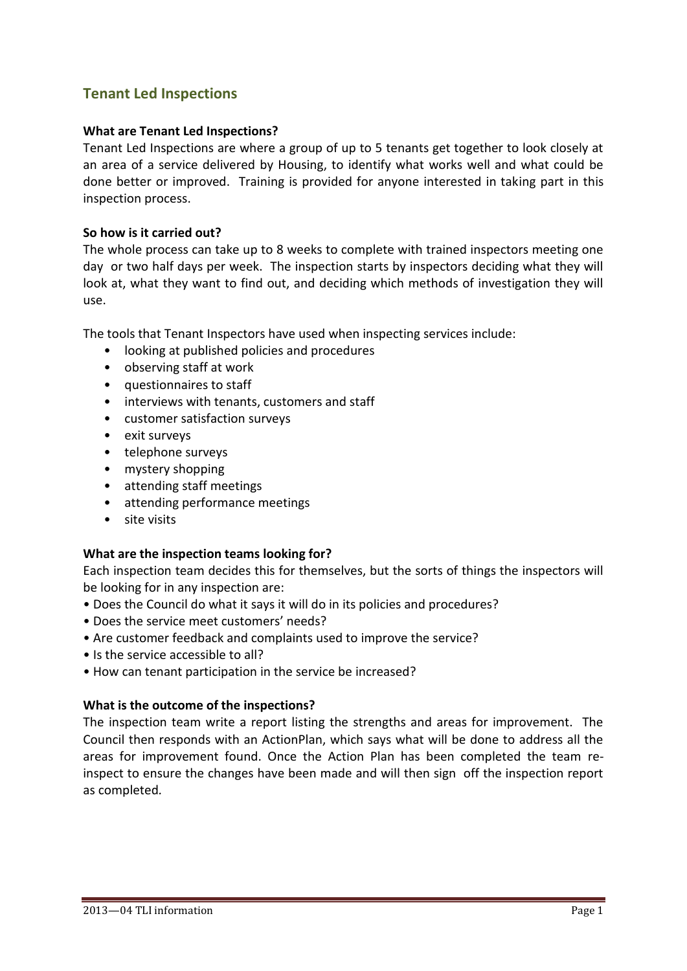# **Tenant Led Inspections**

#### **What are Tenant Led Inspections?**

Tenant Led Inspections are where a group of up to 5 tenants get together to look closely at an area of a service delivered by Housing, to identify what works well and what could be done better or improved. Training is provided for anyone interested in taking part in this inspection process.

#### **So how is it carried out?**

The whole process can take up to 8 weeks to complete with trained inspectors meeting one day or two half days per week. The inspection starts by inspectors deciding what they will look at, what they want to find out, and deciding which methods of investigation they will use.

The tools that Tenant Inspectors have used when inspecting services include:

- looking at published policies and procedures
- observing staff at work
- questionnaires to staff
- interviews with tenants, customers and staff
- customer satisfaction surveys
- exit surveys
- telephone surveys
- mystery shopping
- attending staff meetings
- attending performance meetings
- site visits

#### **What are the inspection teams looking for?**

Each inspection team decides this for themselves, but the sorts of things the inspectors will be looking for in any inspection are:

- Does the Council do what it says it will do in its policies and procedures?
- Does the service meet customers' needs?
- Are customer feedback and complaints used to improve the service?
- Is the service accessible to all?
- How can tenant participation in the service be increased?

#### **What is the outcome of the inspections?**

The inspection team write a report listing the strengths and areas for improvement. The Council then responds with an ActionPlan, which says what will be done to address all the areas for improvement found. Once the Action Plan has been completed the team reinspect to ensure the changes have been made and will then sign off the inspection report as completed*.*